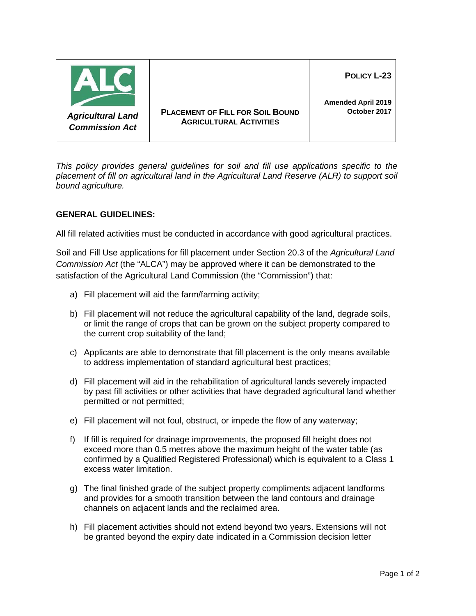

*This policy provides general guidelines for soil and fill use applications specific to the placement of fill on agricultural land in the Agricultural Land Reserve (ALR) to support soil bound agriculture.*

## **GENERAL GUIDELINES:**

All fill related activities must be conducted in accordance with good agricultural practices.

Soil and Fill Use applications for fill placement under Section 20.3 of the *Agricultural Land Commission Act* (the "ALCA") may be approved where it can be demonstrated to the satisfaction of the Agricultural Land Commission (the "Commission") that:

- a) Fill placement will aid the farm/farming activity;
- b) Fill placement will not reduce the agricultural capability of the land, degrade soils, or limit the range of crops that can be grown on the subject property compared to the current crop suitability of the land;
- c) Applicants are able to demonstrate that fill placement is the only means available to address implementation of standard agricultural best practices;
- d) Fill placement will aid in the rehabilitation of agricultural lands severely impacted by past fill activities or other activities that have degraded agricultural land whether permitted or not permitted;
- e) Fill placement will not foul, obstruct, or impede the flow of any waterway;
- f) If fill is required for drainage improvements, the proposed fill height does not exceed more than 0.5 metres above the maximum height of the water table (as confirmed by a Qualified Registered Professional) which is equivalent to a Class 1 excess water limitation.
- g) The final finished grade of the subject property compliments adjacent landforms and provides for a smooth transition between the land contours and drainage channels on adjacent lands and the reclaimed area.
- h) Fill placement activities should not extend beyond two years. Extensions will not be granted beyond the expiry date indicated in a Commission decision letter